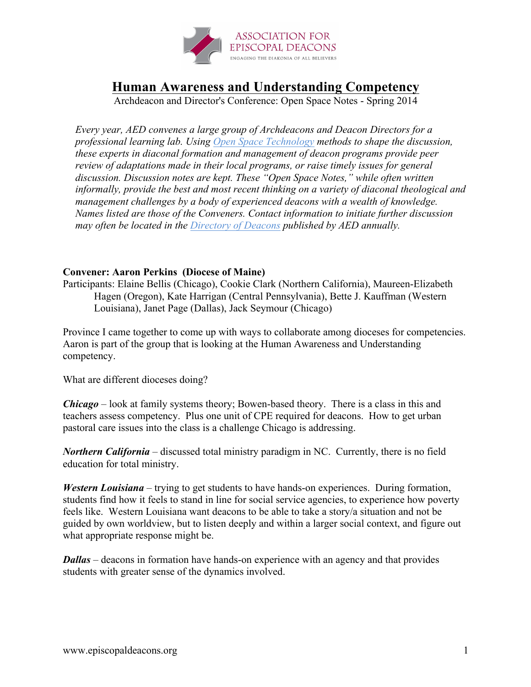

## **Human Awareness and Understanding Competency**

Archdeacon and Director's Conference: Open Space Notes - Spring 2014

*Every year, AED convenes a large group of Archdeacons and Deacon Directors for a professional learning lab. Using Open Space Technology methods to shape the discussion, these experts in diaconal formation and management of deacon programs provide peer review of adaptations made in their local programs, or raise timely issues for general discussion. Discussion notes are kept. These "Open Space Notes," while often written informally, provide the best and most recent thinking on a variety of diaconal theological and management challenges by a body of experienced deacons with a wealth of knowledge. Names listed are those of the Conveners. Contact information to initiate further discussion may often be located in the Directory of Deacons published by AED annually.*

## **Convener: Aaron Perkins (Diocese of Maine)**

Participants: Elaine Bellis (Chicago), Cookie Clark (Northern California), Maureen-Elizabeth Hagen (Oregon), Kate Harrigan (Central Pennsylvania), Bette J. Kauffman (Western Louisiana), Janet Page (Dallas), Jack Seymour (Chicago)

Province I came together to come up with ways to collaborate among dioceses for competencies. Aaron is part of the group that is looking at the Human Awareness and Understanding competency.

What are different dioceses doing?

*Chicago* – look at family systems theory; Bowen-based theory. There is a class in this and teachers assess competency. Plus one unit of CPE required for deacons. How to get urban pastoral care issues into the class is a challenge Chicago is addressing.

*Northern California* – discussed total ministry paradigm in NC. Currently, there is no field education for total ministry.

*Western Louisiana* – trying to get students to have hands-on experiences. During formation, students find how it feels to stand in line for social service agencies, to experience how poverty feels like. Western Louisiana want deacons to be able to take a story/a situation and not be guided by own worldview, but to listen deeply and within a larger social context, and figure out what appropriate response might be.

*Dallas* – deacons in formation have hands-on experience with an agency and that provides students with greater sense of the dynamics involved.